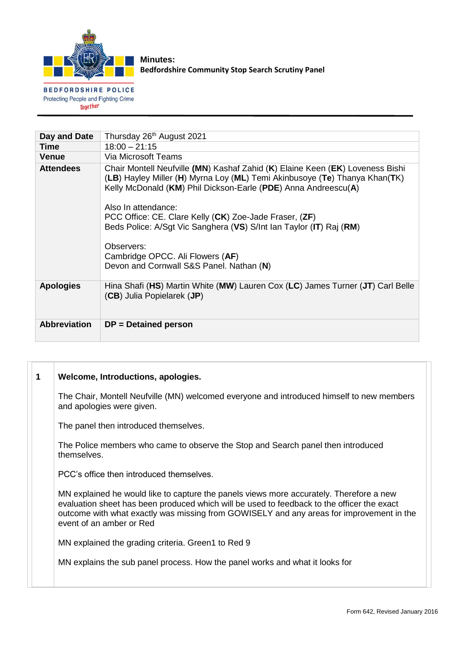

**Minutes: Bedfordshire Community Stop Search Scrutiny Panel**

**BEDFORDSHIRE POLICE** Protecting People and Fighting Crime Together

| Day and Date        | Thursday 26 <sup>th</sup> August 2021                                                                                                                                                                                                                                                                                                                                                                                                                                               |
|---------------------|-------------------------------------------------------------------------------------------------------------------------------------------------------------------------------------------------------------------------------------------------------------------------------------------------------------------------------------------------------------------------------------------------------------------------------------------------------------------------------------|
| Time                | $18:00 - 21:15$                                                                                                                                                                                                                                                                                                                                                                                                                                                                     |
| <b>Venue</b>        | Via Microsoft Teams                                                                                                                                                                                                                                                                                                                                                                                                                                                                 |
| <b>Attendees</b>    | Chair Montell Neufville (MN) Kashaf Zahid (K) Elaine Keen (EK) Loveness Bishi<br>(LB) Hayley Miller (H) Myrna Loy (ML) Temi Akinbusoye (Te) Thanya Khan(TK)<br>Kelly McDonald (KM) Phil Dickson-Earle (PDE) Anna Andreescu(A)<br>Also In attendance:<br>PCC Office: CE. Clare Kelly (CK) Zoe-Jade Fraser, (ZF)<br>Beds Police: A/Sgt Vic Sanghera (VS) S/Int Ian Taylor (IT) Raj (RM)<br>Observers:<br>Cambridge OPCC. Ali Flowers (AF)<br>Devon and Cornwall S&S Panel. Nathan (N) |
| <b>Apologies</b>    | Hina Shafi (HS) Martin White (MW) Lauren Cox (LC) James Turner (JT) Carl Belle<br>(CB) Julia Popielarek (JP)                                                                                                                                                                                                                                                                                                                                                                        |
| <b>Abbreviation</b> | $DP = Detained person$                                                                                                                                                                                                                                                                                                                                                                                                                                                              |

| 1 | Welcome, Introductions, apologies.                                                                                                                                                                                                                                                                            |  |  |
|---|---------------------------------------------------------------------------------------------------------------------------------------------------------------------------------------------------------------------------------------------------------------------------------------------------------------|--|--|
|   | The Chair, Montell Neufville (MN) welcomed everyone and introduced himself to new members<br>and apologies were given.                                                                                                                                                                                        |  |  |
|   | The panel then introduced themselves.                                                                                                                                                                                                                                                                         |  |  |
|   | The Police members who came to observe the Stop and Search panel then introduced<br>themselves.                                                                                                                                                                                                               |  |  |
|   | PCC's office then introduced themselves.                                                                                                                                                                                                                                                                      |  |  |
|   | MN explained he would like to capture the panels views more accurately. Therefore a new<br>evaluation sheet has been produced which will be used to feedback to the officer the exact<br>outcome with what exactly was missing from GOWISELY and any areas for improvement in the<br>event of an amber or Red |  |  |

MN explained the grading criteria. Green1 to Red 9

MN explains the sub panel process. How the panel works and what it looks for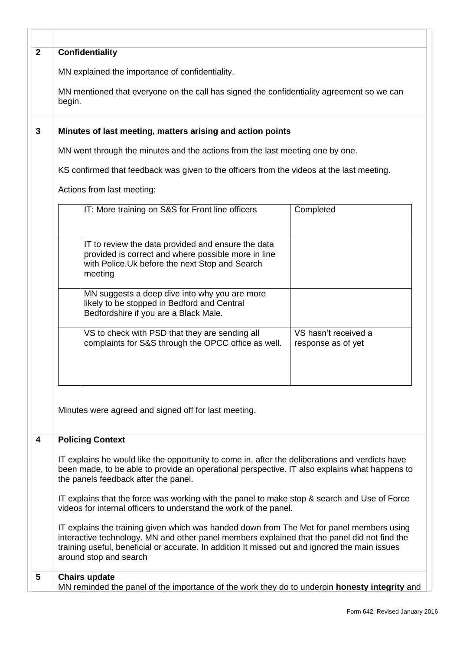| $\mathbf{2}$                                                                              | Confidentiality                                                                                                                                                                                                                                                                                                       |                                            |  |  |  |
|-------------------------------------------------------------------------------------------|-----------------------------------------------------------------------------------------------------------------------------------------------------------------------------------------------------------------------------------------------------------------------------------------------------------------------|--------------------------------------------|--|--|--|
|                                                                                           | MN explained the importance of confidentiality.                                                                                                                                                                                                                                                                       |                                            |  |  |  |
|                                                                                           |                                                                                                                                                                                                                                                                                                                       |                                            |  |  |  |
|                                                                                           | MN mentioned that everyone on the call has signed the confidentiality agreement so we can<br>begin.                                                                                                                                                                                                                   |                                            |  |  |  |
| 3                                                                                         | Minutes of last meeting, matters arising and action points                                                                                                                                                                                                                                                            |                                            |  |  |  |
|                                                                                           | MN went through the minutes and the actions from the last meeting one by one.                                                                                                                                                                                                                                         |                                            |  |  |  |
| KS confirmed that feedback was given to the officers from the videos at the last meeting. |                                                                                                                                                                                                                                                                                                                       |                                            |  |  |  |
| Actions from last meeting:                                                                |                                                                                                                                                                                                                                                                                                                       |                                            |  |  |  |
|                                                                                           | IT: More training on S&S for Front line officers                                                                                                                                                                                                                                                                      | Completed                                  |  |  |  |
|                                                                                           | IT to review the data provided and ensure the data<br>provided is correct and where possible more in line<br>with Police. Uk before the next Stop and Search<br>meeting                                                                                                                                               |                                            |  |  |  |
|                                                                                           | MN suggests a deep dive into why you are more<br>likely to be stopped in Bedford and Central<br>Bedfordshire if you are a Black Male.                                                                                                                                                                                 |                                            |  |  |  |
|                                                                                           | VS to check with PSD that they are sending all<br>complaints for S&S through the OPCC office as well.                                                                                                                                                                                                                 | VS hasn't received a<br>response as of yet |  |  |  |
| 4                                                                                         | Minutes were agreed and signed off for last meeting.                                                                                                                                                                                                                                                                  |                                            |  |  |  |
|                                                                                           | <b>Policing Context</b>                                                                                                                                                                                                                                                                                               |                                            |  |  |  |
|                                                                                           | IT explains he would like the opportunity to come in, after the deliberations and verdicts have<br>been made, to be able to provide an operational perspective. IT also explains what happens to<br>the panels feedback after the panel.                                                                              |                                            |  |  |  |
|                                                                                           |                                                                                                                                                                                                                                                                                                                       |                                            |  |  |  |
|                                                                                           | IT explains that the force was working with the panel to make stop & search and Use of Force<br>videos for internal officers to understand the work of the panel.                                                                                                                                                     |                                            |  |  |  |
|                                                                                           | IT explains the training given which was handed down from The Met for panel members using<br>interactive technology. MN and other panel members explained that the panel did not find the<br>training useful, beneficial or accurate. In addition It missed out and ignored the main issues<br>around stop and search |                                            |  |  |  |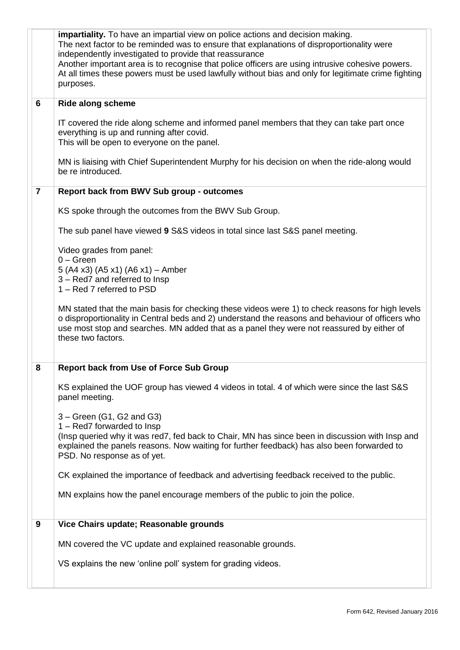|                                                                                                                    | impartiality. To have an impartial view on police actions and decision making.<br>The next factor to be reminded was to ensure that explanations of disproportionality were<br>independently investigated to provide that reassurance<br>Another important area is to recognise that police officers are using intrusive cohesive powers.<br>At all times these powers must be used lawfully without bias and only for legitimate crime fighting<br>purposes. |  |  |  |
|--------------------------------------------------------------------------------------------------------------------|---------------------------------------------------------------------------------------------------------------------------------------------------------------------------------------------------------------------------------------------------------------------------------------------------------------------------------------------------------------------------------------------------------------------------------------------------------------|--|--|--|
| 6                                                                                                                  | <b>Ride along scheme</b>                                                                                                                                                                                                                                                                                                                                                                                                                                      |  |  |  |
|                                                                                                                    | IT covered the ride along scheme and informed panel members that they can take part once<br>everything is up and running after covid.<br>This will be open to everyone on the panel.                                                                                                                                                                                                                                                                          |  |  |  |
| MN is liaising with Chief Superintendent Murphy for his decision on when the ride-along would<br>be re introduced. |                                                                                                                                                                                                                                                                                                                                                                                                                                                               |  |  |  |
| $\overline{7}$                                                                                                     | <b>Report back from BWV Sub group - outcomes</b>                                                                                                                                                                                                                                                                                                                                                                                                              |  |  |  |
|                                                                                                                    | KS spoke through the outcomes from the BWV Sub Group.                                                                                                                                                                                                                                                                                                                                                                                                         |  |  |  |
|                                                                                                                    | The sub panel have viewed 9 S&S videos in total since last S&S panel meeting.                                                                                                                                                                                                                                                                                                                                                                                 |  |  |  |
| Video grades from panel:                                                                                           |                                                                                                                                                                                                                                                                                                                                                                                                                                                               |  |  |  |
| $0 - Green$<br>5 (A4 x3) (A5 x1) (A6 x1) - Amber                                                                   |                                                                                                                                                                                                                                                                                                                                                                                                                                                               |  |  |  |
|                                                                                                                    | 3 - Red7 and referred to Insp<br>1 - Red 7 referred to PSD                                                                                                                                                                                                                                                                                                                                                                                                    |  |  |  |
|                                                                                                                    | MN stated that the main basis for checking these videos were 1) to check reasons for high levels<br>o disproportionality in Central beds and 2) understand the reasons and behaviour of officers who<br>use most stop and searches. MN added that as a panel they were not reassured by either of<br>these two factors.                                                                                                                                       |  |  |  |
| 8                                                                                                                  | <b>Report back from Use of Force Sub Group</b>                                                                                                                                                                                                                                                                                                                                                                                                                |  |  |  |
|                                                                                                                    | KS explained the UOF group has viewed 4 videos in total. 4 of which were since the last S&S<br>panel meeting.                                                                                                                                                                                                                                                                                                                                                 |  |  |  |
|                                                                                                                    | $3 - Green (G1, G2 and G3)$                                                                                                                                                                                                                                                                                                                                                                                                                                   |  |  |  |
|                                                                                                                    | 1 - Red7 forwarded to Insp<br>(Insp queried why it was red7, fed back to Chair, MN has since been in discussion with Insp and<br>explained the panels reasons. Now waiting for further feedback) has also been forwarded to<br>PSD. No response as of yet.                                                                                                                                                                                                    |  |  |  |
|                                                                                                                    | CK explained the importance of feedback and advertising feedback received to the public.                                                                                                                                                                                                                                                                                                                                                                      |  |  |  |
|                                                                                                                    | MN explains how the panel encourage members of the public to join the police.                                                                                                                                                                                                                                                                                                                                                                                 |  |  |  |
| 9                                                                                                                  | Vice Chairs update; Reasonable grounds                                                                                                                                                                                                                                                                                                                                                                                                                        |  |  |  |
|                                                                                                                    | MN covered the VC update and explained reasonable grounds.                                                                                                                                                                                                                                                                                                                                                                                                    |  |  |  |
|                                                                                                                    | VS explains the new 'online poll' system for grading videos.                                                                                                                                                                                                                                                                                                                                                                                                  |  |  |  |
|                                                                                                                    |                                                                                                                                                                                                                                                                                                                                                                                                                                                               |  |  |  |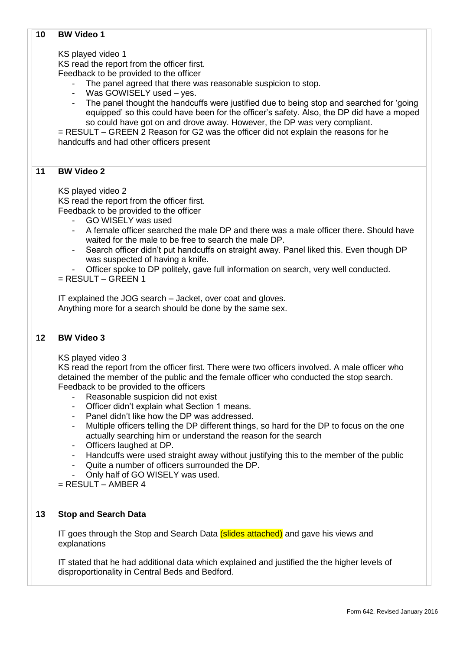| 10 | <b>BW Video 1</b>                                                                                                                                                                                                                                                                                                                                                                                                                                                                                                                                                                                                                                                                                                                                                                                 |  |
|----|---------------------------------------------------------------------------------------------------------------------------------------------------------------------------------------------------------------------------------------------------------------------------------------------------------------------------------------------------------------------------------------------------------------------------------------------------------------------------------------------------------------------------------------------------------------------------------------------------------------------------------------------------------------------------------------------------------------------------------------------------------------------------------------------------|--|
|    | KS played video 1<br>KS read the report from the officer first.<br>Feedback to be provided to the officer<br>The panel agreed that there was reasonable suspicion to stop.<br>Was GOWISELY used - yes.<br>The panel thought the handcuffs were justified due to being stop and searched for 'going<br>equipped' so this could have been for the officer's safety. Also, the DP did have a moped<br>so could have got on and drove away. However, the DP was very compliant.<br>= RESULT – GREEN 2 Reason for G2 was the officer did not explain the reasons for he<br>handcuffs and had other officers present                                                                                                                                                                                    |  |
| 11 | <b>BW Video 2</b>                                                                                                                                                                                                                                                                                                                                                                                                                                                                                                                                                                                                                                                                                                                                                                                 |  |
|    | KS played video 2<br>KS read the report from the officer first.<br>Feedback to be provided to the officer<br>GO WISELY was used<br>A female officer searched the male DP and there was a male officer there. Should have<br>waited for the male to be free to search the male DP.<br>Search officer didn't put handcuffs on straight away. Panel liked this. Even though DP<br>was suspected of having a knife.<br>Officer spoke to DP politely, gave full information on search, very well conducted.<br>$=$ RESULT $-$ GREEN 1<br>IT explained the JOG search - Jacket, over coat and gloves.<br>Anything more for a search should be done by the same sex.                                                                                                                                     |  |
| 12 | <b>BW Video 3</b>                                                                                                                                                                                                                                                                                                                                                                                                                                                                                                                                                                                                                                                                                                                                                                                 |  |
|    | KS played video 3<br>KS read the report from the officer first. There were two officers involved. A male officer who<br>detained the member of the public and the female officer who conducted the stop search.<br>Feedback to be provided to the officers<br>Reasonable suspicion did not exist<br>Officer didn't explain what Section 1 means.<br>Panel didn't like how the DP was addressed.<br>Multiple officers telling the DP different things, so hard for the DP to focus on the one<br>actually searching him or understand the reason for the search<br>Officers laughed at DP.<br>Handcuffs were used straight away without justifying this to the member of the public<br>Quite a number of officers surrounded the DP.<br>Only half of GO WISELY was used.<br>$=$ RESULT $-$ AMBER 4 |  |
| 13 | <b>Stop and Search Data</b>                                                                                                                                                                                                                                                                                                                                                                                                                                                                                                                                                                                                                                                                                                                                                                       |  |
|    | IT goes through the Stop and Search Data (slides attached) and gave his views and<br>explanations                                                                                                                                                                                                                                                                                                                                                                                                                                                                                                                                                                                                                                                                                                 |  |
|    | IT stated that he had additional data which explained and justified the the higher levels of<br>disproportionality in Central Beds and Bedford.                                                                                                                                                                                                                                                                                                                                                                                                                                                                                                                                                                                                                                                   |  |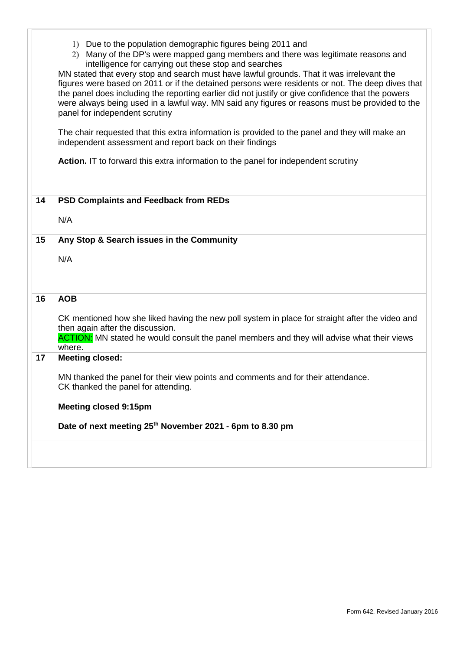|    | 1) Due to the population demographic figures being 2011 and<br>Many of the DP's were mapped gang members and there was legitimate reasons and<br>(2)<br>intelligence for carrying out these stop and searches<br>MN stated that every stop and search must have lawful grounds. That it was irrelevant the<br>figures were based on 2011 or if the detained persons were residents or not. The deep dives that<br>the panel does including the reporting earlier did not justify or give confidence that the powers<br>were always being used in a lawful way. MN said any figures or reasons must be provided to the<br>panel for independent scrutiny<br>The chair requested that this extra information is provided to the panel and they will make an<br>independent assessment and report back on their findings<br>Action. IT to forward this extra information to the panel for independent scrutiny |
|----|-------------------------------------------------------------------------------------------------------------------------------------------------------------------------------------------------------------------------------------------------------------------------------------------------------------------------------------------------------------------------------------------------------------------------------------------------------------------------------------------------------------------------------------------------------------------------------------------------------------------------------------------------------------------------------------------------------------------------------------------------------------------------------------------------------------------------------------------------------------------------------------------------------------|
| 14 | <b>PSD Complaints and Feedback from REDs</b>                                                                                                                                                                                                                                                                                                                                                                                                                                                                                                                                                                                                                                                                                                                                                                                                                                                                |
|    | N/A                                                                                                                                                                                                                                                                                                                                                                                                                                                                                                                                                                                                                                                                                                                                                                                                                                                                                                         |
| 15 | Any Stop & Search issues in the Community                                                                                                                                                                                                                                                                                                                                                                                                                                                                                                                                                                                                                                                                                                                                                                                                                                                                   |
|    | N/A                                                                                                                                                                                                                                                                                                                                                                                                                                                                                                                                                                                                                                                                                                                                                                                                                                                                                                         |
| 16 | <b>AOB</b>                                                                                                                                                                                                                                                                                                                                                                                                                                                                                                                                                                                                                                                                                                                                                                                                                                                                                                  |
|    | CK mentioned how she liked having the new poll system in place for straight after the video and<br>then again after the discussion.<br><b>ACTION:</b> MN stated he would consult the panel members and they will advise what their views<br>where.                                                                                                                                                                                                                                                                                                                                                                                                                                                                                                                                                                                                                                                          |
| 17 | <b>Meeting closed:</b>                                                                                                                                                                                                                                                                                                                                                                                                                                                                                                                                                                                                                                                                                                                                                                                                                                                                                      |
|    | MN thanked the panel for their view points and comments and for their attendance.<br>CK thanked the panel for attending.                                                                                                                                                                                                                                                                                                                                                                                                                                                                                                                                                                                                                                                                                                                                                                                    |
|    | <b>Meeting closed 9:15pm</b>                                                                                                                                                                                                                                                                                                                                                                                                                                                                                                                                                                                                                                                                                                                                                                                                                                                                                |
|    | Date of next meeting 25 <sup>th</sup> November 2021 - 6pm to 8.30 pm                                                                                                                                                                                                                                                                                                                                                                                                                                                                                                                                                                                                                                                                                                                                                                                                                                        |
|    |                                                                                                                                                                                                                                                                                                                                                                                                                                                                                                                                                                                                                                                                                                                                                                                                                                                                                                             |